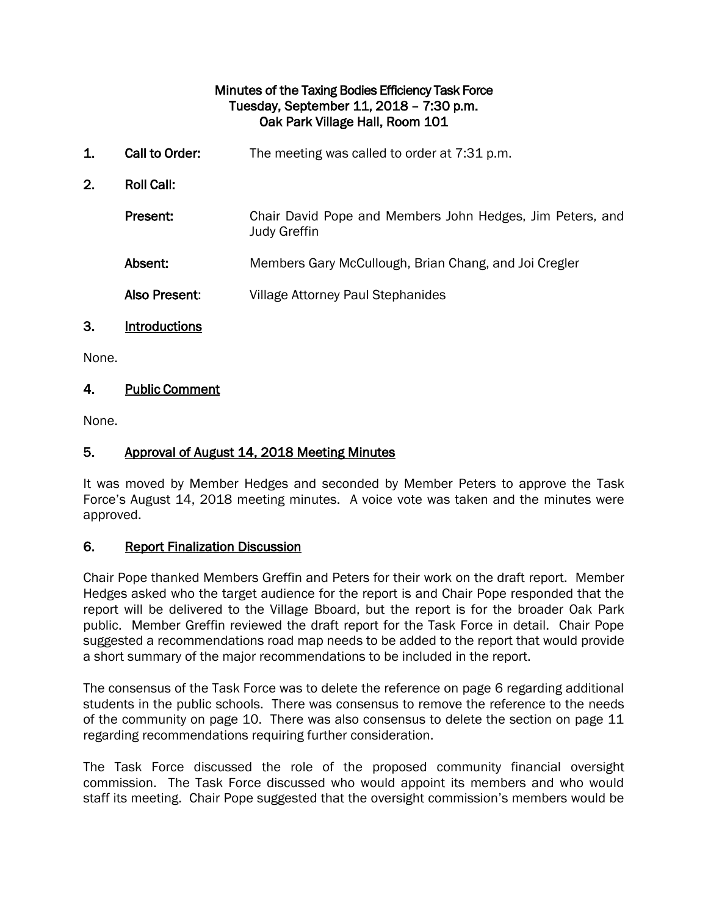#### Minutes of the Taxing Bodies Efficiency Task Force Tuesday, September 11, 2018 – 7:30 p.m. Oak Park Village Hall, Room 101

1. Call to Order: The meeting was called to order at 7:31 p.m. 2. Roll Call: Present: Chair David Pope and Members John Hedges, Jim Peters, and Judy Greffin Absent: Members Gary McCullough, Brian Chang, and Joi Cregler Also Present: Village Attorney Paul Stephanides

# 3. Introductions

None.

## 4. Public Comment

None.

## 5. Approval of August 14, 2018 Meeting Minutes

It was moved by Member Hedges and seconded by Member Peters to approve the Task Force's August 14, 2018 meeting minutes. A voice vote was taken and the minutes were approved.

#### 6. Report Finalization Discussion

Chair Pope thanked Members Greffin and Peters for their work on the draft report. Member Hedges asked who the target audience for the report is and Chair Pope responded that the report will be delivered to the Village Bboard, but the report is for the broader Oak Park public. Member Greffin reviewed the draft report for the Task Force in detail. Chair Pope suggested a recommendations road map needs to be added to the report that would provide a short summary of the major recommendations to be included in the report.

The consensus of the Task Force was to delete the reference on page 6 regarding additional students in the public schools. There was consensus to remove the reference to the needs of the community on page 10. There was also consensus to delete the section on page 11 regarding recommendations requiring further consideration.

The Task Force discussed the role of the proposed community financial oversight commission. The Task Force discussed who would appoint its members and who would staff its meeting. Chair Pope suggested that the oversight commission's members would be